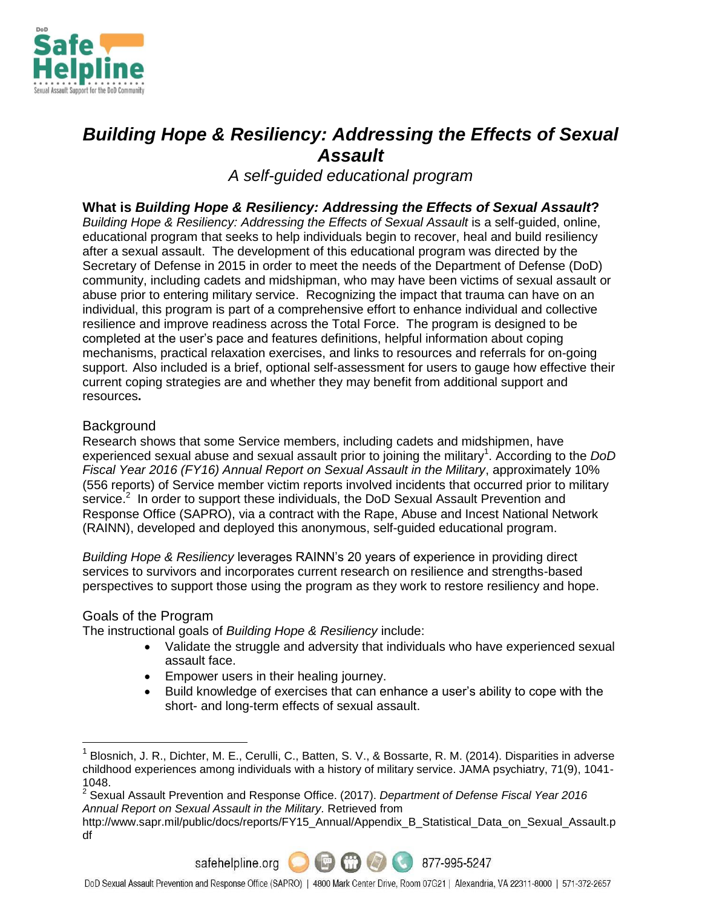

# *Building Hope & Resiliency: Addressing the Effects of Sexual Assault*

*A self-guided educational program*

## **What is** *Building Hope & Resiliency: Addressing the Effects of Sexual Assault***?**

*Building Hope & Resiliency: Addressing the Effects of Sexual Assault* is a self-guided, online, educational program that seeks to help individuals begin to recover, heal and build resiliency after a sexual assault. The development of this educational program was directed by the Secretary of Defense in 2015 in order to meet the needs of the Department of Defense (DoD) community, including cadets and midshipman, who may have been victims of sexual assault or abuse prior to entering military service. Recognizing the impact that trauma can have on an individual, this program is part of a comprehensive effort to enhance individual and collective resilience and improve readiness across the Total Force. The program is designed to be completed at the user's pace and features definitions, helpful information about coping mechanisms, practical relaxation exercises, and links to resources and referrals for on-going support. Also included is a brief, optional self-assessment for users to gauge how effective their current coping strategies are and whether they may benefit from additional support and resources**.**

### Background

Research shows that some Service members, including cadets and midshipmen, have experienced sexual abuse and sexual assault prior to joining the military<sup>1</sup>. According to the *DoD Fiscal Year 2016 (FY16) Annual Report on Sexual Assault in the Military*, approximately 10% (556 reports) of Service member victim reports involved incidents that occurred prior to military service. $2$  In order to support these individuals, the DoD Sexual Assault Prevention and Response Office (SAPRO), via a contract with the Rape, Abuse and Incest National Network (RAINN), developed and deployed this anonymous, self-guided educational program.

*Building Hope & Resiliency* leverages RAINN's 20 years of experience in providing direct services to survivors and incorporates current research on resilience and strengths-based perspectives to support those using the program as they work to restore resiliency and hope.

#### Goals of the Program

 $\overline{a}$ 

The instructional goals of *Building Hope & Resiliency* include:

- Validate the struggle and adversity that individuals who have experienced sexual assault face.
- Empower users in their healing journey.
- Build knowledge of exercises that can enhance a user's ability to cope with the short- and long-term effects of sexual assault.

2 Sexual Assault Prevention and Response Office. (2017). *Department of Defense Fiscal Year 2016 Annual Report on Sexual Assault in the Military.* Retrieved from

http://www.sapr.mil/public/docs/reports/FY15\_Annual/Appendix\_B\_Statistical\_Data\_on\_Sexual\_Assault.p df



<sup>1</sup> Blosnich, J. R., Dichter, M. E., Cerulli, C., Batten, S. V., & Bossarte, R. M. (2014). Disparities in adverse childhood experiences among individuals with a history of military service. JAMA psychiatry, 71(9), 1041- 1048.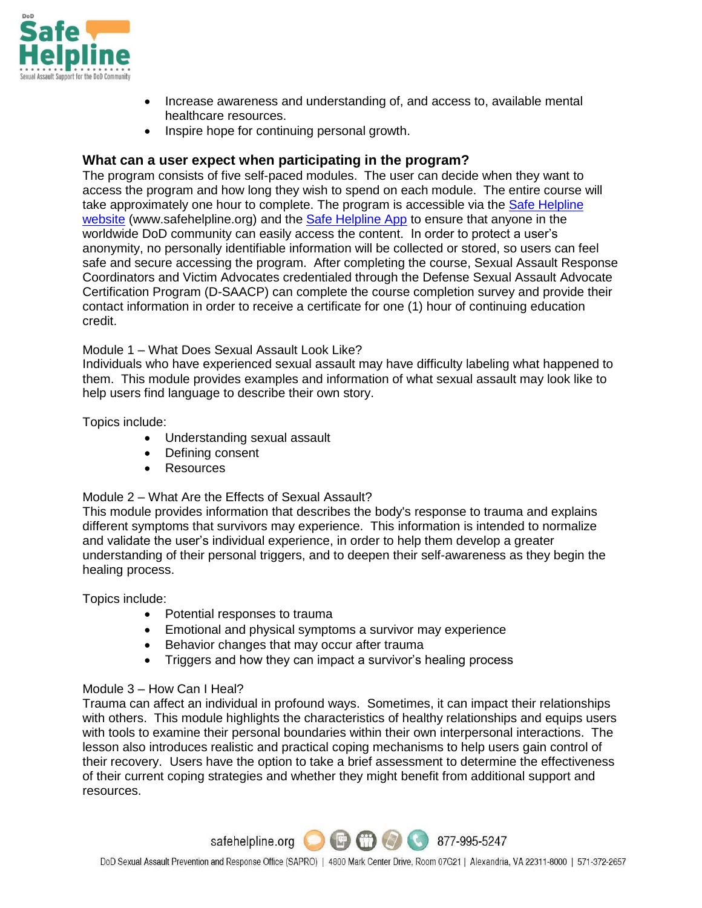

- Increase awareness and understanding of, and access to, available mental healthcare resources.
- Inspire hope for continuing personal growth.

## **What can a user expect when participating in the program?**

The program consists of five self-paced modules. The user can decide when they want to access the program and how long they wish to spend on each module. The entire course will take approximately one hour to complete. The program is accessible via the [Safe Helpline](https://safehelpline.org/)  [website](https://safehelpline.org/) (www.safehelpline.org) and the **[Safe Helpline App](https://safehelpline.org/about-mobile)** to ensure that anyone in the worldwide DoD community can easily access the content. In order to protect a user's anonymity, no personally identifiable information will be collected or stored, so users can feel safe and secure accessing the program. After completing the course, Sexual Assault Response Coordinators and Victim Advocates credentialed through the Defense Sexual Assault Advocate Certification Program (D-SAACP) can complete the course completion survey and provide their contact information in order to receive a certificate for one (1) hour of continuing education credit.

Module 1 – What Does Sexual Assault Look Like?

Individuals who have experienced sexual assault may have difficulty labeling what happened to them. This module provides examples and information of what sexual assault may look like to help users find language to describe their own story.

Topics include:

- Understanding sexual assault
- Defining consent
- Resources

#### Module 2 – What Are the Effects of Sexual Assault?

This module provides information that describes the body's response to trauma and explains different symptoms that survivors may experience. This information is intended to normalize and validate the user's individual experience, in order to help them develop a greater understanding of their personal triggers, and to deepen their self-awareness as they begin the healing process.

Topics include:

- Potential responses to trauma
- Emotional and physical symptoms a survivor may experience
- Behavior changes that may occur after trauma
- Triggers and how they can impact a survivor's healing process

#### Module 3 – How Can I Heal?

Trauma can affect an individual in profound ways. Sometimes, it can impact their relationships with others. This module highlights the characteristics of healthy relationships and equips users with tools to examine their personal boundaries within their own interpersonal interactions. The lesson also introduces realistic and practical coping mechanisms to help users gain control of their recovery. Users have the option to take a brief assessment to determine the effectiveness of their current coping strategies and whether they might benefit from additional support and resources.

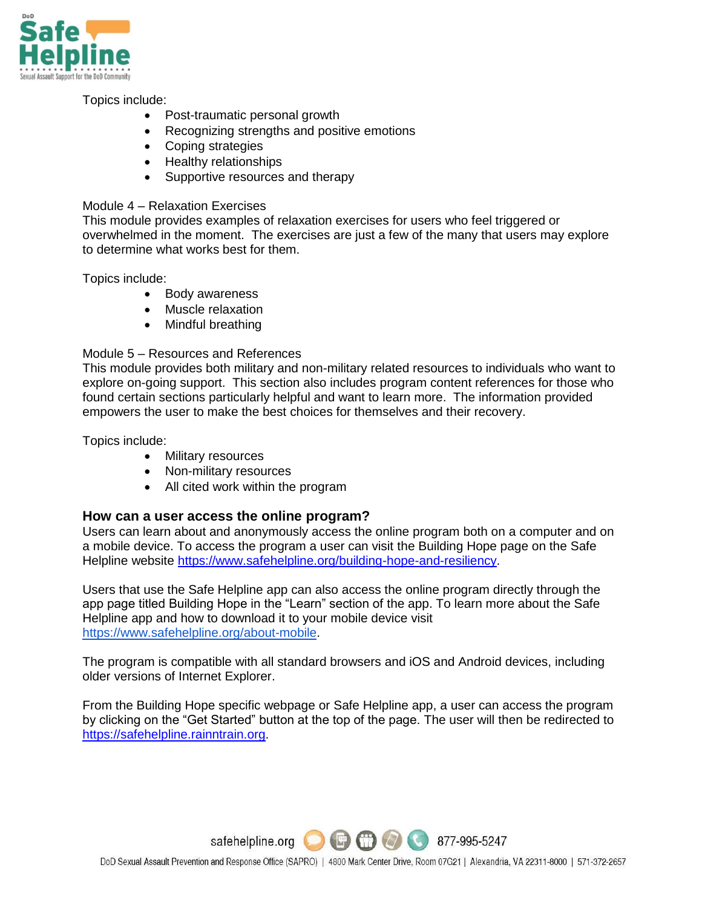

Topics include:

- Post-traumatic personal growth
- Recognizing strengths and positive emotions
- Coping strategies
- Healthy relationships
- Supportive resources and therapy

#### Module 4 – Relaxation Exercises

This module provides examples of relaxation exercises for users who feel triggered or overwhelmed in the moment. The exercises are just a few of the many that users may explore to determine what works best for them.

Topics include:

- Body awareness
- Muscle relaxation
- Mindful breathing

#### Module 5 – Resources and References

This module provides both military and non-military related resources to individuals who want to explore on-going support. This section also includes program content references for those who found certain sections particularly helpful and want to learn more. The information provided empowers the user to make the best choices for themselves and their recovery.

Topics include:

- Military resources
- Non-military resources
- All cited work within the program

## **How can a user access the online program?**

Users can learn about and anonymously access the online program both on a computer and on a mobile device. To access the program a user can visit the Building Hope page on the Safe Helpline website [https://www.safehelpline.org/building-hope-and-resiliency.](https://www.safehelpline.org/building-hope-and-resiliency)

Users that use the Safe Helpline app can also access the online program directly through the app page titled Building Hope in the "Learn" section of the app. To learn more about the Safe Helpline app and how to download it to your mobile device visit [https://www.safehelpline.org/about-mobile.](https://www.safehelpline.org/about-mobile)

The program is compatible with all standard browsers and iOS and Android devices, including older versions of Internet Explorer.

From the Building Hope specific webpage or Safe Helpline app, a user can access the program by clicking on the "Get Started" button at the top of the page. The user will then be redirected to [https://safehelpline.rainntrain.org.](https://safehelpline.rainntrain.org/Default.asp?)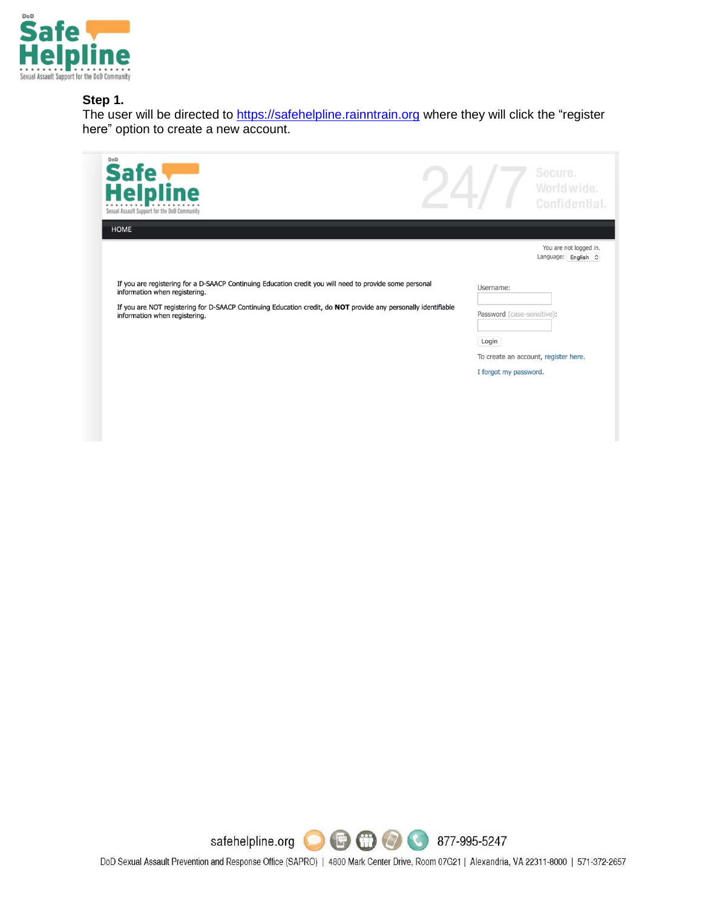

#### **Step 1.**

The user will be directed to [https://safehelpline.rainntrain.org](https://safehelpline.rainntrain.org/Default.asp?) where they will click the "register here" option to create a new account.

| DoD<br>Safe<br>Helpline<br>Sexual Assault Support for the DoD Community                                                                                                                                                                                                                     |                                                                           | Secure.<br>World wide.<br>Confidential.             |
|---------------------------------------------------------------------------------------------------------------------------------------------------------------------------------------------------------------------------------------------------------------------------------------------|---------------------------------------------------------------------------|-----------------------------------------------------|
| <b>HOME</b>                                                                                                                                                                                                                                                                                 |                                                                           | You are not logged in.<br>Language: English $\circ$ |
| If you are registering for a D-SAACP Continuing Education credit you will need to provide some personal<br>information when registering.<br>If you are NOT registering for D-SAACP Continuing Education credit, do NOT provide any personally identifiable<br>information when registering. | Username:<br>Password (case-sensitive):<br>Login<br>I forgot my password. | To create an account, register here.                |



DoD Sexual Assault Prevention and Response Office (SAPRO) | 4800 Mark Center Drive, Room 07G21 | Alexandria, VA 22311-8000 | 571-372-2657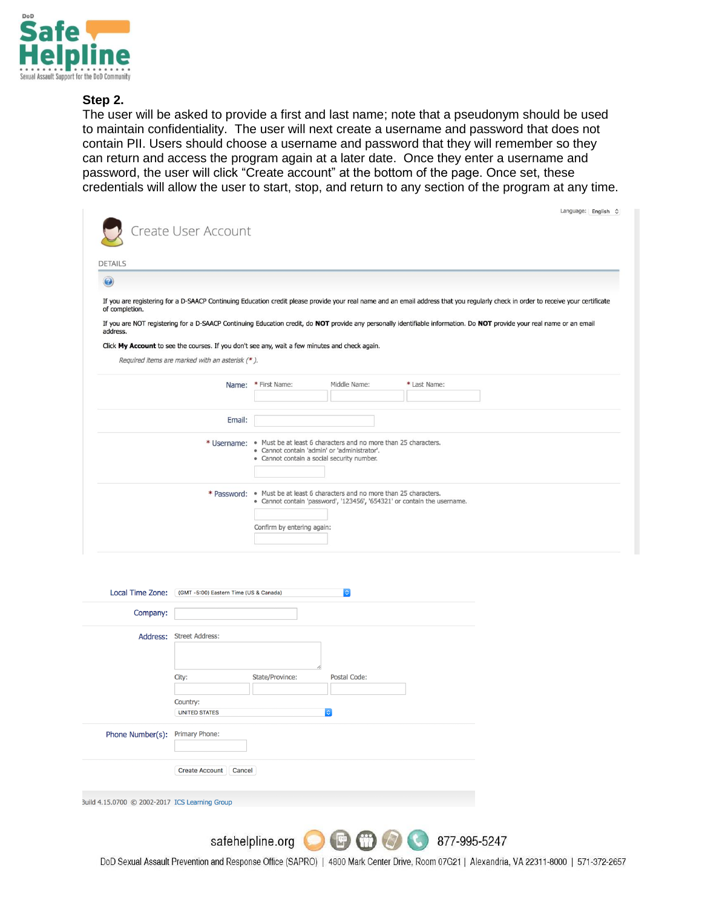

#### **Step 2.**

The user will be asked to provide a first and last name; note that a pseudonym should be used to maintain confidentiality. The user will next create a username and password that does not contain PII. Users should choose a username and password that they will remember so they can return and access the program again at a later date. Once they enter a username and password, the user will click "Create account" at the bottom of the page. Once set, these credentials will allow the user to start, stop, and return to any section of the program at any time.

| Create User Account                                                                                                                                                                                 |                                                                                                                             |              |                                                                          |  |
|-----------------------------------------------------------------------------------------------------------------------------------------------------------------------------------------------------|-----------------------------------------------------------------------------------------------------------------------------|--------------|--------------------------------------------------------------------------|--|
| <b>DETAILS</b>                                                                                                                                                                                      |                                                                                                                             |              |                                                                          |  |
| $\boldsymbol{\Omega}$                                                                                                                                                                               |                                                                                                                             |              |                                                                          |  |
| If you are registering for a D-SAACP Continuing Education credit please provide your real name and an email address that you regularly check in order to receive your certificate<br>of completion. |                                                                                                                             |              |                                                                          |  |
| If you are NOT registering for a D-SAACP Continuing Education credit, do NOT provide any personally identifiable information. Do NOT provide your real name or an email<br>address.                 |                                                                                                                             |              |                                                                          |  |
| Click My Account to see the courses. If you don't see any, wait a few minutes and check again.                                                                                                      |                                                                                                                             |              |                                                                          |  |
| Required items are marked with an asterisk (*).                                                                                                                                                     |                                                                                                                             |              |                                                                          |  |
| Name:                                                                                                                                                                                               | * First Name:                                                                                                               | Middle Name: | * Last Name:                                                             |  |
|                                                                                                                                                                                                     |                                                                                                                             |              |                                                                          |  |
| Email:                                                                                                                                                                                              |                                                                                                                             |              |                                                                          |  |
|                                                                                                                                                                                                     | * Username: • Must be at least 6 characters and no more than 25 characters.<br>· Cannot contain 'admin' or 'administrator'. |              |                                                                          |  |
|                                                                                                                                                                                                     | · Cannot contain a social security number.                                                                                  |              |                                                                          |  |
|                                                                                                                                                                                                     | * Password: . Must be at least 6 characters and no more than 25 characters.                                                 |              | · Cannot contain 'password', '123456', '654321' or contain the username. |  |
|                                                                                                                                                                                                     |                                                                                                                             |              |                                                                          |  |
|                                                                                                                                                                                                     | Confirm by entering again:                                                                                                  |              |                                                                          |  |

| Local Time Zone:                               | (GMT-5:00) Eastern Time (US & Canada) |                 | $\ddot{\circ}$                               |  |
|------------------------------------------------|---------------------------------------|-----------------|----------------------------------------------|--|
| Company:                                       |                                       |                 |                                              |  |
| Address:                                       | <b>Street Address:</b>                | n               |                                              |  |
|                                                | City:                                 | State/Province: | Postal Code:                                 |  |
|                                                |                                       |                 |                                              |  |
|                                                | Country:                              |                 |                                              |  |
|                                                | <b>UNITED STATES</b>                  |                 | $ \diamond\rangle$                           |  |
| Phone Number(s):                               | Primary Phone:                        |                 |                                              |  |
|                                                | <b>Create Account</b><br>Cancel       |                 |                                              |  |
| 3uild 4.15.0700 C 2002-2017 ICS Learning Group |                                       |                 |                                              |  |
|                                                |                                       |                 |                                              |  |
|                                                | $\cdots$                              |                 | <b>COLLA</b><br>$\sim$<br><b>COLLEGE AVE</b> |  |

safehelpline.org **DISCO CO** 877-995-5247

DoD Sexual Assault Prevention and Response Office (SAPRO) | 4800 Mark Center Drive, Room 07G21 | Alexandria, VA 22311-8000 | 571-372-2657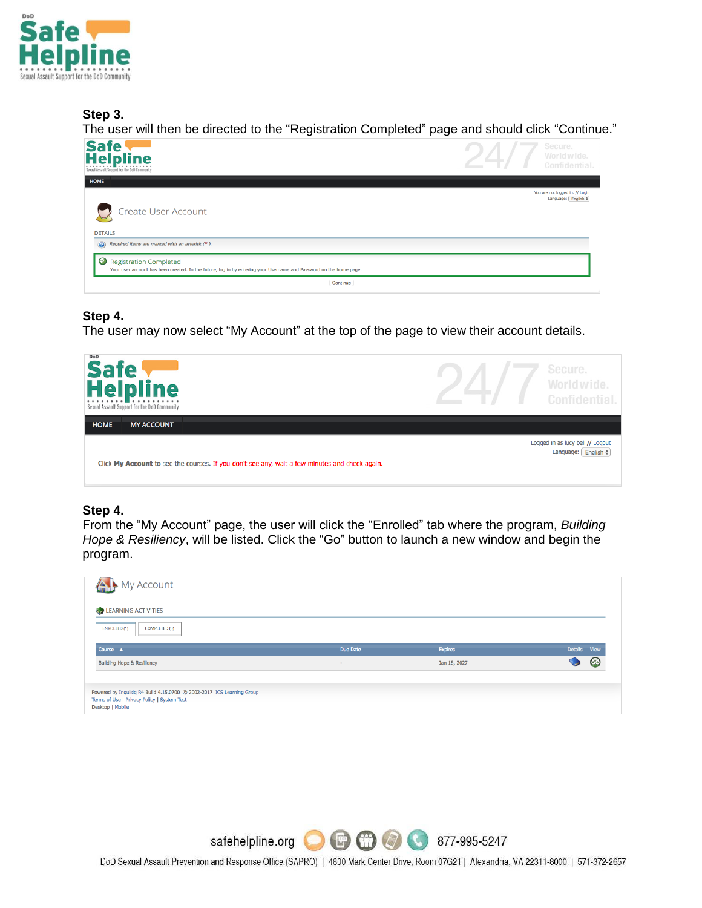

## **Step 3.**

The user will then be directed to the "Registration Completed" page and should click "Continue."

| Safe<br>Helpline<br>Sexual Assault Support for the DoD Community                                                                                               | Secure.<br>Worldwide.<br><b>Confidential</b>           |
|----------------------------------------------------------------------------------------------------------------------------------------------------------------|--------------------------------------------------------|
| HOME                                                                                                                                                           |                                                        |
| Create User Account<br><b>DETAILS</b><br>$\odot$<br>Required items are marked with an asterisk (*).                                                            | You are not logged in. // Login<br>Language: English ¢ |
| $\odot$<br><b>Registration Completed</b><br>Your user account has been created. In the future, log in by entering your Username and Password on the home page. |                                                        |
| Continue                                                                                                                                                       |                                                        |

### **Step 4.**

The user may now select "My Account" at the top of the page to view their account details.

| DoD<br>Safe<br>Helpline<br>. <b>.</b><br>Sexual Assault Support for the DoD Community          | Secure.<br><i><u>Morldwide</u></i><br>Confidential                         |
|------------------------------------------------------------------------------------------------|----------------------------------------------------------------------------|
| <b>HOME</b><br><b>MY ACCOUNT</b>                                                               |                                                                            |
| Click My Account to see the courses. If you don't see any, wait a few minutes and check again. | Logged in as lucy bell // Logout<br>English $\Leftrightarrow$<br>Language: |

## **Step 4.**

From the "My Account" page, the user will click the "Enrolled" tab where the program, *Building Hope & Resiliency*, will be listed. Click the "Go" button to launch a new window and begin the program.

| My Account                            |          |                |                               |
|---------------------------------------|----------|----------------|-------------------------------|
| LEARNING ACTIVITIES                   |          |                |                               |
| <b>ENROLLED (1)</b><br>COMPLETED (0)  |          |                |                               |
| Course A                              | Due Date | <b>Expires</b> | <b>Details</b><br><b>View</b> |
| <b>Building Hope &amp; Resiliency</b> | ٠        | Jan 18, 2027   | <b>GG</b>                     |
|                                       |          |                |                               |
|                                       |          |                |                               |